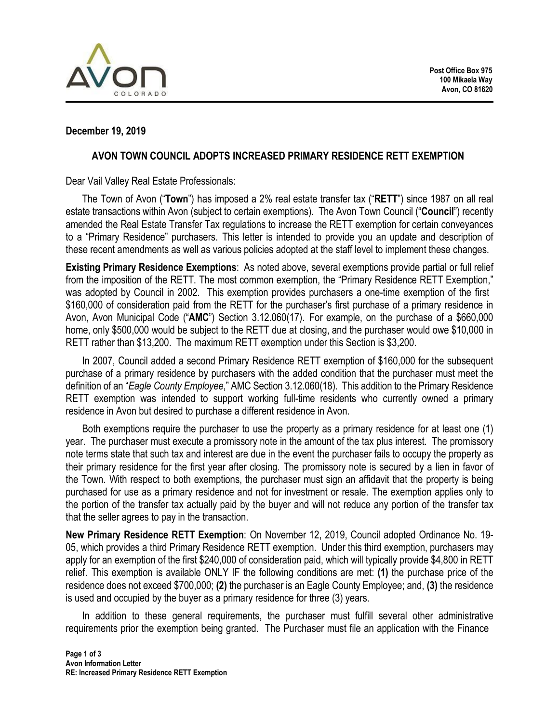

### **December 19, 2019**

#### **AVON TOWN COUNCIL ADOPTS INCREASED PRIMARY RESIDENCE RETT EXEMPTION**

Dear Vail Valley Real Estate Professionals:

The Town of Avon ("**Town**") has imposed a 2% real estate transfer tax ("**RETT**") since 1987 on all real estate transactions within Avon (subject to certain exemptions). The Avon Town Council ("**Council**") recently amended the Real Estate Transfer Tax regulations to increase the RETT exemption for certain conveyances to a "Primary Residence" purchasers. This letter is intended to provide you an update and description of these recent amendments as well as various policies adopted at the staff level to implement these changes.

**Existing Primary Residence Exemptions**: As noted above, several exemptions provide partial or full relief from the imposition of the RETT. The most common exemption, the "Primary Residence RETT Exemption," was adopted by Council in 2002. This exemption provides purchasers a one-time exemption of the first \$160,000 of consideration paid from the RETT for the purchaser's first purchase of a primary residence in Avon, Avon Municipal Code ("**AMC**") Section 3.12.060(17). For example, on the purchase of a \$660,000 home, only \$500,000 would be subject to the RETT due at closing, and the purchaser would owe \$10,000 in RETT rather than \$13,200. The maximum RETT exemption under this Section is \$3,200.

In 2007, Council added a second Primary Residence RETT exemption of \$160,000 for the subsequent purchase of a primary residence by purchasers with the added condition that the purchaser must meet the definition of an "*Eagle County Employee*," AMC Section 3.12.060(18). This addition to the Primary Residence RETT exemption was intended to support working full-time residents who currently owned a primary residence in Avon but desired to purchase a different residence in Avon.

Both exemptions require the purchaser to use the property as a primary residence for at least one (1) year. The purchaser must execute a promissory note in the amount of the tax plus interest. The promissory note terms state that such tax and interest are due in the event the purchaser fails to occupy the property as their primary residence for the first year after closing. The promissory note is secured by a lien in favor of the Town. With respect to both exemptions, the purchaser must sign an affidavit that the property is being purchased for use as a primary residence and not for investment or resale. The exemption applies only to the portion of the transfer tax actually paid by the buyer and will not reduce any portion of the transfer tax that the seller agrees to pay in the transaction.

**New Primary Residence RETT Exemption**: On November 12, 2019, Council adopted Ordinance No. 19- 05, which provides a third Primary Residence RETT exemption. Under this third exemption, purchasers may apply for an exemption of the first \$240,000 of consideration paid, which will typically provide \$4,800 in RETT relief. This exemption is available ONLY IF the following conditions are met: **(1)** the purchase price of the residence does not exceed \$700,000; **(2)** the purchaser is an Eagle County Employee; and, **(3)** the residence is used and occupied by the buyer as a primary residence for three (3) years.

In addition to these general requirements, the purchaser must fulfill several other administrative requirements prior the exemption being granted. The Purchaser must file an application with the Finance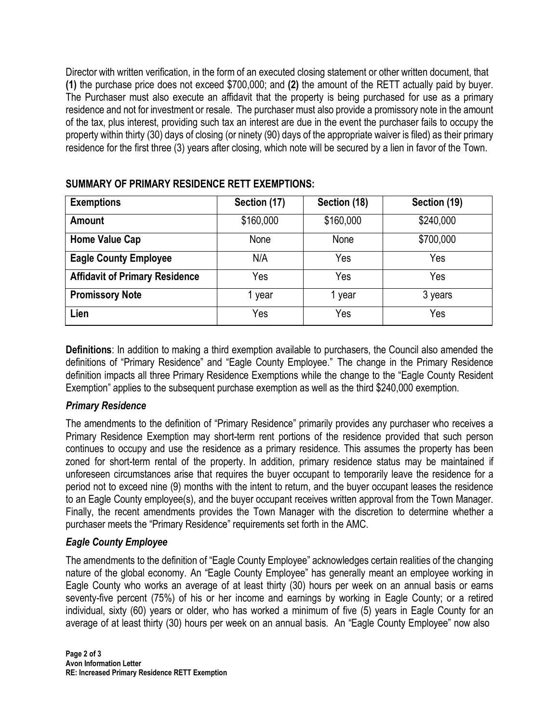Director with written verification, in the form of an executed closing statement or other written document, that **(1)** the purchase price does not exceed \$700,000; and **(2)** the amount of the RETT actually paid by buyer. The Purchaser must also execute an affidavit that the property is being purchased for use as a primary residence and not for investment or resale. The purchaser must also provide a promissory note in the amount of the tax, plus interest, providing such tax an interest are due in the event the purchaser fails to occupy the property within thirty (30) days of closing (or ninety (90) days of the appropriate waiver is filed) as their primary residence for the first three (3) years after closing, which note will be secured by a lien in favor of the Town.

| <b>Exemptions</b>                     | Section (17) | Section (18) | Section (19) |
|---------------------------------------|--------------|--------------|--------------|
| <b>Amount</b>                         | \$160,000    | \$160,000    | \$240,000    |
| <b>Home Value Cap</b>                 | None         | None         | \$700,000    |
| <b>Eagle County Employee</b>          | N/A          | Yes          | Yes          |
| <b>Affidavit of Primary Residence</b> | Yes          | Yes          | Yes          |
| <b>Promissory Note</b>                | year         | l year       | 3 years      |
| Lien                                  | Yes          | Yes          | Yes          |

## **SUMMARY OF PRIMARY RESIDENCE RETT EXEMPTIONS:**

**Definitions**: In addition to making a third exemption available to purchasers, the Council also amended the definitions of "Primary Residence" and "Eagle County Employee." The change in the Primary Residence definition impacts all three Primary Residence Exemptions while the change to the "Eagle County Resident Exemption" applies to the subsequent purchase exemption as well as the third \$240,000 exemption.

## *Primary Residence*

The amendments to the definition of "Primary Residence" primarily provides any purchaser who receives a Primary Residence Exemption may short-term rent portions of the residence provided that such person continues to occupy and use the residence as a primary residence. This assumes the property has been zoned for short-term rental of the property. In addition, primary residence status may be maintained if unforeseen circumstances arise that requires the buyer occupant to temporarily leave the residence for a period not to exceed nine (9) months with the intent to return, and the buyer occupant leases the residence to an Eagle County employee(s), and the buyer occupant receives written approval from the Town Manager. Finally, the recent amendments provides the Town Manager with the discretion to determine whether a purchaser meets the "Primary Residence" requirements set forth in the AMC.

# *Eagle County Employee*

The amendments to the definition of "Eagle County Employee" acknowledges certain realities of the changing nature of the global economy. An "Eagle County Employee" has generally meant an employee working in Eagle County who works an average of at least thirty (30) hours per week on an annual basis or earns seventy-five percent (75%) of his or her income and earnings by working in Eagle County; or a retired individual, sixty (60) years or older, who has worked a minimum of five (5) years in Eagle County for an average of at least thirty (30) hours per week on an annual basis. An "Eagle County Employee" now also